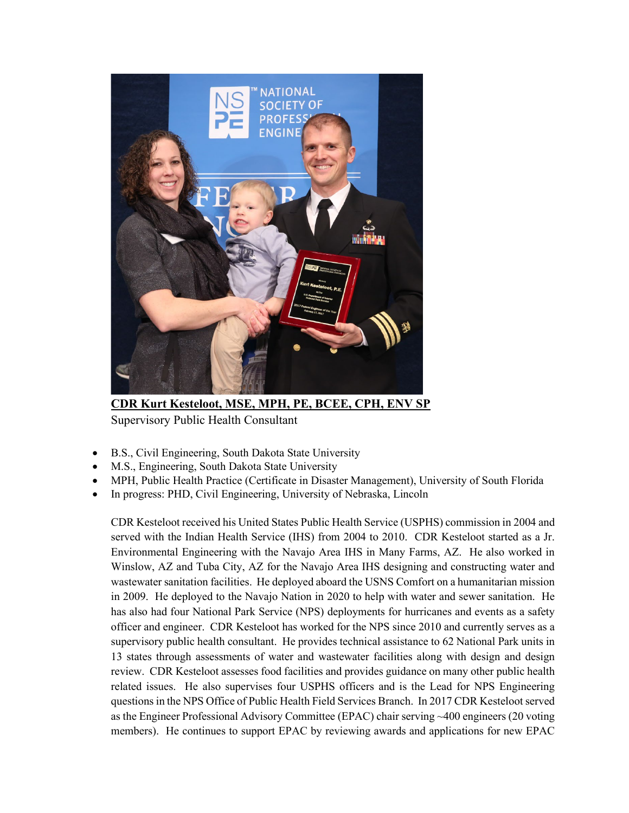

**CDR Kurt Kesteloot, MSE, MPH, PE, BCEE, CPH, ENV SP** Supervisory Public Health Consultant

- B.S., Civil Engineering, South Dakota State University
- M.S., Engineering, South Dakota State University
- MPH, Public Health Practice (Certificate in Disaster Management), University of South Florida
- In progress: PHD, Civil Engineering, University of Nebraska, Lincoln

CDR Kesteloot received his United States Public Health Service (USPHS) commission in 2004 and served with the Indian Health Service (IHS) from 2004 to 2010. CDR Kesteloot started as a Jr. Environmental Engineering with the Navajo Area IHS in Many Farms, AZ. He also worked in Winslow, AZ and Tuba City, AZ for the Navajo Area IHS designing and constructing water and wastewater sanitation facilities. He deployed aboard the USNS Comfort on a humanitarian mission in 2009. He deployed to the Navajo Nation in 2020 to help with water and sewer sanitation. He has also had four National Park Service (NPS) deployments for hurricanes and events as a safety officer and engineer. CDR Kesteloot has worked for the NPS since 2010 and currently serves as a supervisory public health consultant. He provides technical assistance to 62 National Park units in 13 states through assessments of water and wastewater facilities along with design and design review. CDR Kesteloot assesses food facilities and provides guidance on many other public health related issues. He also supervises four USPHS officers and is the Lead for NPS Engineering questions in the NPS Office of Public Health Field Services Branch. In 2017 CDR Kesteloot served as the Engineer Professional Advisory Committee (EPAC) chair serving ~400 engineers (20 voting members). He continues to support EPAC by reviewing awards and applications for new EPAC